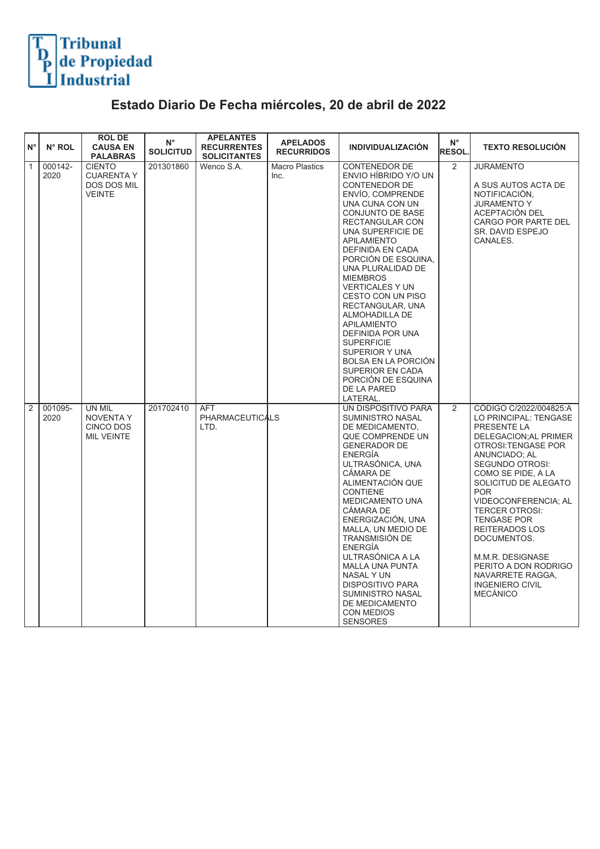

## **Estado Diario De Fecha miércoles, 20 de abril de 2022**

| $N^{\circ}$    | N° ROL          | <b>ROLDE</b><br><b>CAUSA EN</b><br><b>PALABRAS</b>                 | $N^{\circ}$<br><b>SOLICITUD</b> | <b>APELANTES</b><br><b>RECURRENTES</b><br><b>SOLICITANTES</b> | <b>APELADOS</b><br><b>RECURRIDOS</b> | <b>INDIVIDUALIZACIÓN</b>                                                                                                                                                                                                                                                                                                                                                                                                                                                                                                                                  | $N^{\circ}$<br><b>RESOL.</b> | <b>TEXTO RESOLUCIÓN</b>                                                                                                                                                                                                                                                                                                                                                                                                             |
|----------------|-----------------|--------------------------------------------------------------------|---------------------------------|---------------------------------------------------------------|--------------------------------------|-----------------------------------------------------------------------------------------------------------------------------------------------------------------------------------------------------------------------------------------------------------------------------------------------------------------------------------------------------------------------------------------------------------------------------------------------------------------------------------------------------------------------------------------------------------|------------------------------|-------------------------------------------------------------------------------------------------------------------------------------------------------------------------------------------------------------------------------------------------------------------------------------------------------------------------------------------------------------------------------------------------------------------------------------|
| $\vert$ 1      | 000142-<br>2020 | <b>CIENTO</b><br><b>CUARENTA Y</b><br>DOS DOS MIL<br><b>VEINTE</b> | 201301860                       | Wenco S.A.                                                    | <b>Macro Plastics</b><br>Inc.        | <b>CONTENEDOR DE</b><br>ENVIO HÍBRIDO Y/O UN<br>CONTENEDOR DE<br>ENVÍO, COMPRENDE<br>UNA CUNA CON UN<br>CONJUNTO DE BASE<br>RECTANGULAR CON<br>UNA SUPERFICIE DE<br><b>APILAMIENTO</b><br><b>DEFINIDA EN CADA</b><br>PORCIÓN DE ESQUINA.<br>UNA PLURALIDAD DE<br><b>MIEMBROS</b><br><b>VERTICALES Y UN</b><br>CESTO CON UN PISO<br>RECTANGULAR, UNA<br>ALMOHADILLA DE<br><b>APILAMIENTO</b><br>DEFINIDA POR UNA<br><b>SUPERFICIE</b><br>SUPERIOR Y UNA<br><b>BOLSA EN LA PORCIÓN</b><br>SUPERIOR EN CADA<br>PORCIÓN DE ESQUINA<br>DE LA PARED<br>LATERAL. | 2                            | <b>JURAMENTO</b><br>A SUS AUTOS ACTA DE<br>NOTIFICACIÓN,<br><b>JURAMENTO Y</b><br>ACEPTACIÓN DEL<br>CARGO POR PARTE DEL<br>SR. DAVID ESPEJO<br>CANALES.                                                                                                                                                                                                                                                                             |
| $\overline{2}$ | 001095-<br>2020 | UN MIL<br><b>NOVENTA Y</b><br>CINCO DOS<br><b>MIL VEINTE</b>       | 201702410                       | AFT<br><b>PHARMACEUTICALS</b><br>LTD.                         |                                      | UN DISPOSITIVO PARA<br>SUMINISTRO NASAL<br>DE MEDICAMENTO.<br>QUE COMPRENDE UN<br><b>GENERADOR DE</b><br><b>ENERGÍA</b><br>ULTRASÓNICA, UNA<br>CÁMARA DE<br>ALIMENTACIÓN QUE<br><b>CONTIENE</b><br>MEDICAMENTO UNA<br>CÁMARA DE<br>ENERGIZACIÓN, UNA<br>MALLA, UN MEDIO DE<br>TRANSMISIÓN DE<br>ENERGÍA<br>ULTRASÓNICA A LA<br><b>MALLA UNA PUNTA</b><br>NASAL Y UN<br><b>DISPOSITIVO PARA</b><br>SUMINISTRO NASAL<br>DE MEDICAMENTO<br><b>CON MEDIOS</b><br><b>SENSORES</b>                                                                              | $\overline{2}$               | CÓDIGO C/2022/004825:A<br>LO PRINCIPAL: TENGASE<br>PRESENTE LA<br>DELEGACION; AL PRIMER<br>OTROSI: TENGASE POR<br>ANUNCIADO; AL<br>SEGUNDO OTROSI:<br>COMO SE PIDE, A LA<br>SOLICITUD DE ALEGATO<br><b>POR</b><br>VIDEOCONFERENCIA; AL<br><b>TERCER OTROSI:</b><br><b>TENGASE POR</b><br>REITERADOS LOS<br>DOCUMENTOS.<br>M.M.R. DESIGNASE<br>PERITO A DON RODRIGO<br>NAVARRETE RAGGA.<br><b>INGENIERO CIVIL</b><br><b>MECÁNICO</b> |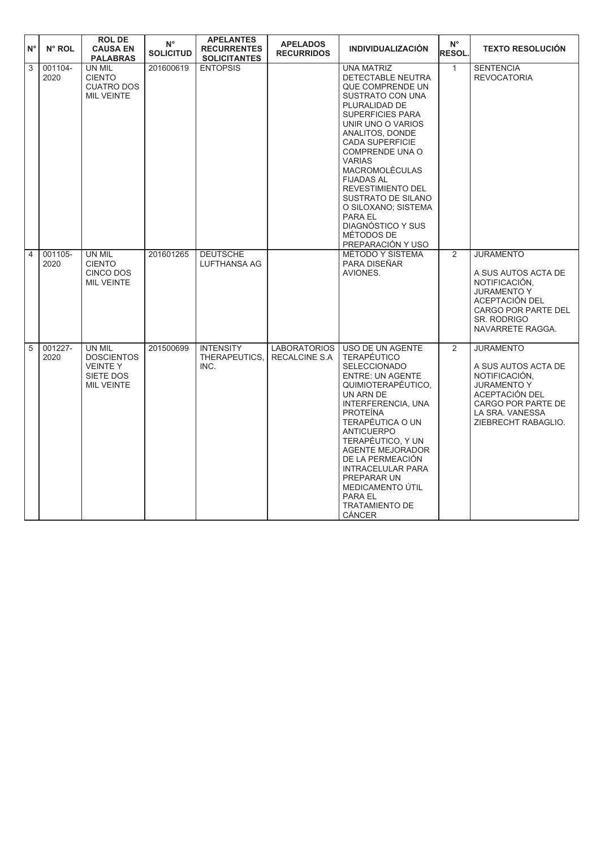| $\mathsf{N}^\circ$ | N° ROL          | <b>ROLDE</b><br><b>CAUSA EN</b><br><b>PALABRAS</b>                              | $N^{\circ}$<br><b>SOLICITUD</b> | <b>APELANTES</b><br><b>RECURRENTES</b><br><b>SOLICITANTES</b> | <b>APELADOS</b><br><b>RECURRIDOS</b>        | <b>INDIVIDUALIZACIÓN</b>                                                                                                                                                                                                                                                                                                                                                                              | $N^{\circ}$<br><b>RESOL.</b> | <b>TEXTO RESOLUCIÓN</b>                                                                                                                                                  |
|--------------------|-----------------|---------------------------------------------------------------------------------|---------------------------------|---------------------------------------------------------------|---------------------------------------------|-------------------------------------------------------------------------------------------------------------------------------------------------------------------------------------------------------------------------------------------------------------------------------------------------------------------------------------------------------------------------------------------------------|------------------------------|--------------------------------------------------------------------------------------------------------------------------------------------------------------------------|
| $\overline{3}$     | 001104-<br>2020 | UN MIL<br><b>CIENTO</b><br><b>CUATRO DOS</b><br><b>MIL VEINTE</b>               | 201600619                       | <b>ENTOPSIS</b>                                               |                                             | <b>UNA MATRIZ</b><br>DETECTABLE NEUTRA<br>QUE COMPRENDE UN<br>SUSTRATO CON UNA<br>PLURALIDAD DE<br>SUPERFICIES PARA<br>UNIR UNO O VARIOS<br>ANALITOS, DONDE<br>CADA SUPERFICIE<br>COMPRENDE UNA O<br><b>VARIAS</b><br><b>MACROMOLÉCULAS</b><br><b>FIJADAS AL</b><br>REVESTIMIENTO DEL<br>SUSTRATO DE SILANO<br>O SILOXANO; SISTEMA<br>PARA EL<br>DIAGNÓSTICO Y SUS<br>MÉTODOS DE<br>PREPARACIÓN Y USO | $\mathbf{1}$                 | <b>SENTENCIA</b><br><b>REVOCATORIA</b>                                                                                                                                   |
| $\overline{4}$     | 001105-<br>2020 | UN MIL<br><b>CIENTO</b><br>CINCO DOS<br><b>MIL VEINTE</b>                       | 201601265                       | <b>DEUTSCHE</b><br>LUFTHANSA AG                               |                                             | MÉTODO Y SISTEMA<br>PARA DISEÑAR<br>AVIONES.                                                                                                                                                                                                                                                                                                                                                          | 2                            | <b>JURAMENTO</b><br>A SUS AUTOS ACTA DE<br>NOTIFICACIÓN.<br><b>JURAMENTO Y</b><br>ACEPTACIÓN DEL<br><b>CARGO POR PARTE DEL</b><br><b>SR. RODRIGO</b><br>NAVARRETE RAGGA. |
| 5                  | 001227-<br>2020 | UN MIL<br><b>DOSCIENTOS</b><br><b>VEINTEY</b><br>SIETE DOS<br><b>MIL VEINTE</b> | 201500699                       | <b>INTENSITY</b><br>THERAPEUTICS,<br>INC.                     | <b>LABORATORIOS</b><br><b>RECALCINE S.A</b> | USO DE UN AGENTE<br><b>TERAPÉUTICO</b><br><b>SELECCIONADO</b><br><b>ENTRE: UN AGENTE</b><br>QUIMIOTERAPÉUTICO,<br>UN ARN DE<br>INTERFERENCIA, UNA<br><b>PROTEINA</b><br>TERAPÉUTICA O UN<br><b>ANTICUERPO</b><br>TERAPÉUTICO, Y UN<br><b>AGENTE MEJORADOR</b><br>DE LA PERMEACIÓN<br><b>INTRACELULAR PARA</b><br>PREPARAR UN<br>MEDICAMENTO ÚTIL<br>PARA EL<br><b>TRATAMIENTO DE</b><br><b>CANCER</b> | $\overline{2}$               | <b>JURAMENTO</b><br>A SUS AUTOS ACTA DE<br>NOTIFICACIÓN,<br><b>JURAMENTO Y</b><br>ACEPTACIÓN DEL<br>CARGO POR PARTE DE<br>LA SRA. VANESSA<br>ZIEBRECHT RABAGLIO.         |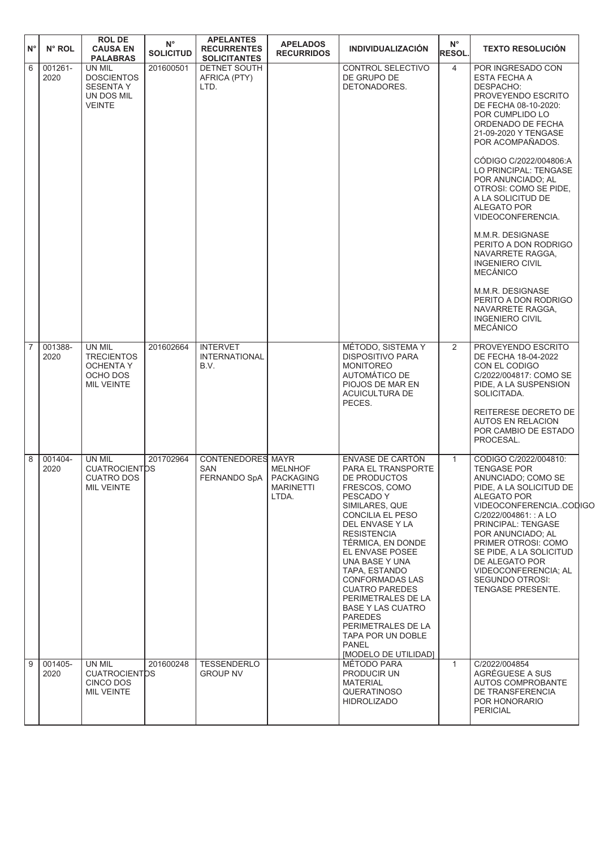| ١N° | N° ROL          | <b>ROLDE</b><br><b>CAUSA EN</b><br><b>PALABRAS</b>                               | $N^{\circ}$<br><b>SOLICITUD</b> | <b>APELANTES</b><br><b>RECURRENTES</b><br><b>SOLICITANTES</b> | <b>APELADOS</b><br><b>RECURRIDOS</b>                     | <b>INDIVIDUALIZACIÓN</b>                                                                                                                                                                                                                                                                                                                                                                                                                                 | $N^{\circ}$<br><b>RESOL.</b> | <b>TEXTO RESOLUCIÓN</b>                                                                                                                                                                                                                                                                                                                                                                                                                                                                                                                                                     |  |
|-----|-----------------|----------------------------------------------------------------------------------|---------------------------------|---------------------------------------------------------------|----------------------------------------------------------|----------------------------------------------------------------------------------------------------------------------------------------------------------------------------------------------------------------------------------------------------------------------------------------------------------------------------------------------------------------------------------------------------------------------------------------------------------|------------------------------|-----------------------------------------------------------------------------------------------------------------------------------------------------------------------------------------------------------------------------------------------------------------------------------------------------------------------------------------------------------------------------------------------------------------------------------------------------------------------------------------------------------------------------------------------------------------------------|--|
| 6   | 001261-<br>2020 | UN MIL<br><b>DOSCIENTOS</b><br><b>SESENTA Y</b><br>UN DOS MIL<br><b>VEINTE</b>   | 201600501                       | <b>DETNET SOUTH</b><br>AFRICA (PTY)<br>LTD.                   |                                                          | CONTROL SELECTIVO<br>DE GRUPO DE<br>DETONADORES.                                                                                                                                                                                                                                                                                                                                                                                                         | $\overline{4}$               | POR INGRESADO CON<br>ESTA FECHA A<br>DESPACHO:<br>PROVEYENDO ESCRITO<br>DE FECHA 08-10-2020:<br>POR CUMPLIDO LO<br>ORDENADO DE FECHA<br>21-09-2020 Y TENGASE<br>POR ACOMPAÑADOS.<br>CODIGO C/2022/004806:A<br>LO PRINCIPAL: TENGASE<br>POR ANUNCIADO; AL<br>OTROSI: COMO SE PIDE,<br>A LA SOLICITUD DE<br><b>ALEGATO POR</b><br>VIDEOCONFERENCIA.<br>M.M.R. DESIGNASE<br>PERITO A DON RODRIGO<br>NAVARRETE RAGGA.<br><b>INGENIERO CIVIL</b><br><b>MECÁNICO</b><br>M.M.R. DESIGNASE<br>PERITO A DON RODRIGO<br>NAVARRETE RAGGA,<br><b>INGENIERO CIVIL</b><br><b>MECÁNICO</b> |  |
| 17  | 001388-<br>2020 | UN MIL<br><b>TRECIENTOS</b><br><b>OCHENTA Y</b><br>OCHO DOS<br><b>MIL VEINTE</b> | 201602664                       | <b>INTERVET</b><br><b>INTERNATIONAL</b><br>B.V.               |                                                          | MÉTODO, SISTEMA Y<br><b>DISPOSITIVO PARA</b><br><b>MONITOREO</b><br>AUTOMÁTICO DE<br>PIOJOS DE MAR EN<br>ACUICULTURA DE<br>PECES.                                                                                                                                                                                                                                                                                                                        | 2                            | PROVEYENDO ESCRITO<br>DE FECHA 18-04-2022<br>CON EL CODIGO<br>C/2022/004817: COMO SE<br>PIDE, A LA SUSPENSION<br>SOLICITADA.<br>REITERESE DECRETO DE<br><b>AUTOS EN RELACION</b><br>POR CAMBIO DE ESTADO<br>PROCESAL.                                                                                                                                                                                                                                                                                                                                                       |  |
| 8   | 001404-<br>2020 | UN MIL<br><b>CUATROCIENTOS</b><br><b>CUATRO DOS</b><br>MIL VEINTE                | 201702964                       | <b>CONTENEDORES MAYR</b><br><b>SAN</b><br>FERNANDO SpA        | <b>MELNHOF</b><br><b>PACKAGING</b><br>MARINETTI<br>LTDA. | ENVASE DE CARTÓN<br>PARA EL TRANSPORTE<br>DE PRODUCTOS<br>FRESCOS, COMO<br>PESCADO Y<br>SIMILARES, QUE<br>CONCILIA EL PESO<br>DEL ENVASE Y LA<br><b>RESISTENCIA</b><br>TÉRMICA, EN DONDE<br>EL ENVASE POSEE<br>UNA BASE Y UNA<br>TAPA, ESTANDO<br><b>CONFORMADAS LAS</b><br><b>CUATRO PAREDES</b><br>PERIMETRALES DE LA<br><b>BASE Y LAS CUATRO</b><br><b>PAREDES</b><br>PERIMETRALES DE LA<br>TAPA POR UN DOBLE<br><b>PANEL</b><br>[MODELO DE UTILIDAD] | $\mathbf{1}$                 | CODIGO C/2022/004810:<br><b>TENGASE POR</b><br>ANUNCIADO; COMO SE<br>PIDE, A LA SOLICITUD DE<br>ALEGATO POR<br>VIDEOCONFERENCIACODIGC<br>C/2022/004861: : A LO<br>PRINCIPAL: TENGASE<br>POR ANUNCIADO; AL<br>PRIMER OTROSI: COMO<br>SE PIDE, A LA SOLICITUD<br>DE ALEGATO POR<br>VIDEOCONFERENCIA; AL<br>SEGUNDO OTROSI:<br>TENGASE PRESENTE.                                                                                                                                                                                                                               |  |
| 9   | 001405-<br>2020 | UN MIL<br><b>CUATROCIENTOS</b><br>CINCO DOS<br>MIL VEINTE                        | 201600248                       | <b>TESSENDERLO</b><br><b>GROUP NV</b>                         |                                                          | MÉTODO PARA<br>PRODUCIR UN<br><b>MATERIAL</b><br><b>QUERATINOSO</b><br><b>HIDROLIZADO</b>                                                                                                                                                                                                                                                                                                                                                                | $\mathbf{1}$                 | C/2022/004854<br>AGRÉGUESE A SUS<br>AUTOS COMPROBANTE<br>DE TRANSFERENCIA<br>POR HONORARIO<br><b>PERICIAL</b>                                                                                                                                                                                                                                                                                                                                                                                                                                                               |  |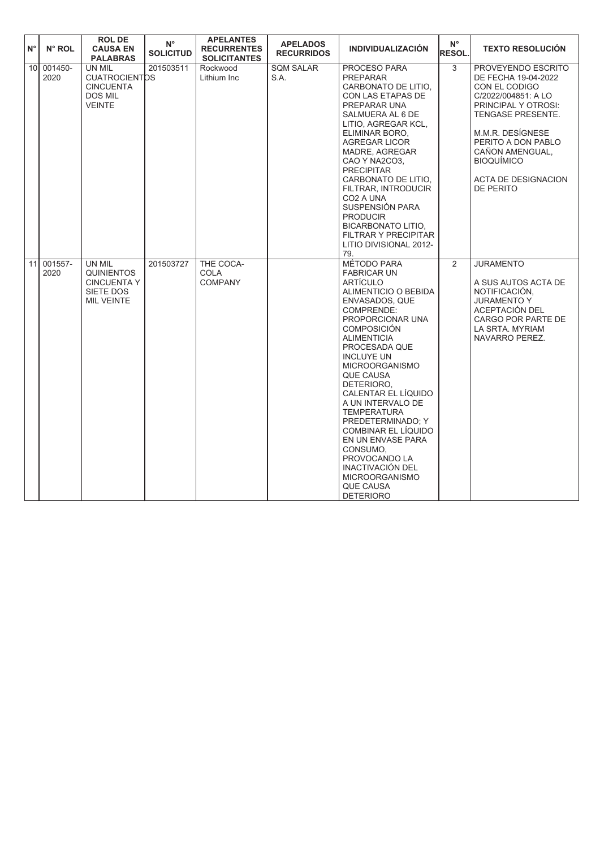| $N^{\circ}$     | $N^{\circ}$ ROL | <b>ROL DE</b><br><b>CAUSA EN</b><br><b>PALABRAS</b>                                   | $\mathsf{N}^\circ$<br><b>SOLICITUD</b> | <b>APELANTES</b><br><b>RECURRENTES</b><br><b>SOLICITANTES</b> | <b>APELADOS</b><br><b>RECURRIDOS</b> | <b>INDIVIDUALIZACIÓN</b>                                                                                                                                                                                                                                                                                                                                                                                                                                                                                                    | $N^{\circ}$<br><b>RESOL.</b> | <b>TEXTO RESOLUCION</b>                                                                                                                                                                                                                                    |
|-----------------|-----------------|---------------------------------------------------------------------------------------|----------------------------------------|---------------------------------------------------------------|--------------------------------------|-----------------------------------------------------------------------------------------------------------------------------------------------------------------------------------------------------------------------------------------------------------------------------------------------------------------------------------------------------------------------------------------------------------------------------------------------------------------------------------------------------------------------------|------------------------------|------------------------------------------------------------------------------------------------------------------------------------------------------------------------------------------------------------------------------------------------------------|
| 10 <sup>1</sup> | 001450-<br>2020 | UN MIL<br><b>CUATROCIENTOS</b><br><b>CINCUENTA</b><br><b>DOS MIL</b><br><b>VEINTE</b> | 201503511                              | Rockwood<br>Lithium Inc                                       | <b>SQM SALAR</b><br>S.A.             | PROCESO PARA<br><b>PREPARAR</b><br>CARBONATO DE LITIO,<br>CON LAS ETAPAS DE<br>PREPARAR UNA<br>SALMUERA AL 6 DE<br>LITIO, AGREGAR KCL,<br>ELIMINAR BORO.<br>AGREGAR LICOR<br>MADRE, AGREGAR<br>CAO Y NA2CO3,<br><b>PRECIPITAR</b><br>CARBONATO DE LITIO.<br>FILTRAR, INTRODUCIR<br>CO <sub>2</sub> A UNA<br>SUSPENSIÓN PARA<br><b>PRODUCIR</b><br><b>BICARBONATO LITIO.</b><br><b>FILTRAR Y PRECIPITAR</b><br>LITIO DIVISIONAL 2012-<br>79.                                                                                 | 3                            | PROVEYENDO ESCRITO<br>DE FECHA 19-04-2022<br>CON EL CODIGO<br>C/2022/004851: A LO<br>PRINCIPAL Y OTROSI:<br>TENGASE PRESENTE.<br>M.M.R. DESÍGNESE<br>PERITO A DON PABLO<br>CAÑON AMENGUAL,<br><b>BIOQUÍMICO</b><br>ACTA DE DESIGNACION<br><b>DE PERITO</b> |
| 11              | 001557-<br>2020 | UN MIL<br><b>QUINIENTOS</b><br><b>CINCUENTA Y</b><br>SIETE DOS<br><b>MIL VEINTE</b>   | 201503727                              | THE COCA-<br>COLA<br><b>COMPANY</b>                           |                                      | MÉTODO PARA<br><b>FABRICAR UN</b><br><b>ARTÍCULO</b><br>ALIMENTICIO O BEBIDA<br>ENVASADOS, QUE<br>COMPRENDE:<br>PROPORCIONAR UNA<br><b>COMPOSICIÓN</b><br><b>ALIMENTICIA</b><br>PROCESADA QUE<br><b>INCLUYE UN</b><br><b>MICROORGANISMO</b><br>QUE CAUSA<br>DETERIORO,<br>CALENTAR EL LÍQUIDO<br>A UN INTERVALO DE<br><b>TEMPERATURA</b><br>PREDETERMINADO; Y<br>COMBINAR EL LÍQUIDO<br>EN UN ENVASE PARA<br>CONSUMO.<br>PROVOCANDO LA<br>INACTIVACIÓN DEL<br><b>MICROORGANISMO</b><br><b>QUE CAUSA</b><br><b>DETERIORO</b> | 2                            | <b>JURAMENTO</b><br>A SUS AUTOS ACTA DE<br>NOTIFICACIÓN,<br><b>JURAMENTO Y</b><br>ACEPTACIÓN DEL<br>CARGO POR PARTE DE<br>LA SRTA, MYRIAM<br>NAVARRO PEREZ.                                                                                                |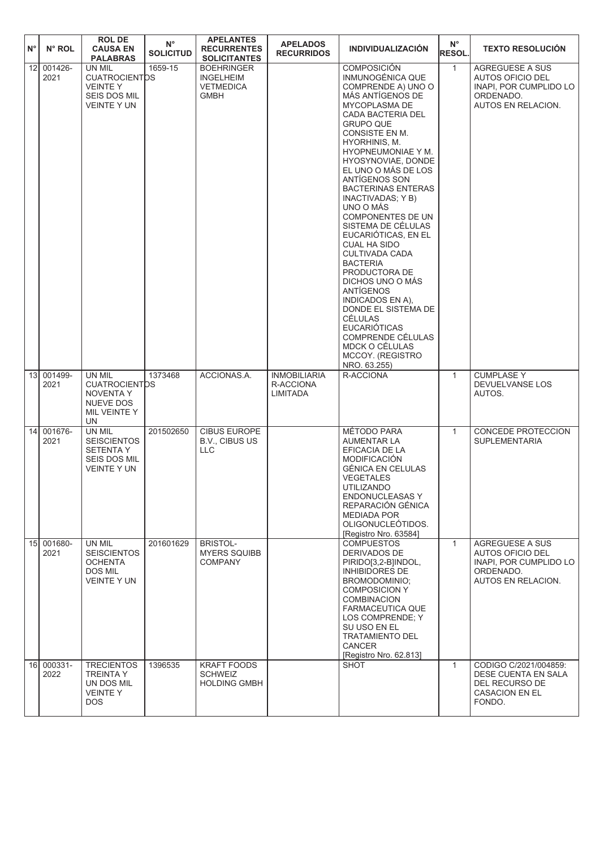| $N^{\circ}$     | N° ROL          | <b>ROLDE</b><br><b>CAUSA EN</b><br><b>PALABRAS</b>                                            | $\mathsf{N}^\circ$<br><b>SOLICITUD</b> | <b>APELANTES</b><br><b>RECURRENTES</b><br><b>SOLICITANTES</b>            | <b>APELADOS</b><br><b>RECURRIDOS</b>         | <b>INDIVIDUALIZACIÓN</b>                                                                                                                                                                                                                                                                                                                                                                                                                                                                                                                                                                                                                                                                             | $N^{\circ}$<br><b>RESOL.</b> | <b>TEXTO RESOLUCIÓN</b>                                                                                 |
|-----------------|-----------------|-----------------------------------------------------------------------------------------------|----------------------------------------|--------------------------------------------------------------------------|----------------------------------------------|------------------------------------------------------------------------------------------------------------------------------------------------------------------------------------------------------------------------------------------------------------------------------------------------------------------------------------------------------------------------------------------------------------------------------------------------------------------------------------------------------------------------------------------------------------------------------------------------------------------------------------------------------------------------------------------------------|------------------------------|---------------------------------------------------------------------------------------------------------|
| 12              | 001426-<br>2021 | UN MIL<br><b>CUATROCIENTDS</b><br><b>VEINTEY</b><br>SEIS DOS MIL<br><b>VEINTE Y UN</b>        | 1659-15                                | <b>BOEHRINGER</b><br><b>INGELHEIM</b><br><b>VETMEDICA</b><br><b>GMBH</b> |                                              | <b>COMPOSICIÓN</b><br>INMUNOGÉNICA QUE<br>COMPRENDE A) UNO O<br>MÁS ANTÍGENOS DE<br>MYCOPLASMA DE<br>CADA BACTERIA DEL<br><b>GRUPO QUE</b><br>CONSISTE EN M.<br>HYORHINIS, M.<br>HYOPNEUMONIAE Y M.<br>HYOSYNOVIAE, DONDE<br>EL UNO O MÁS DE LOS<br>ANTÍGENOS SON<br><b>BACTERINAS ENTERAS</b><br>INACTIVADAS; Y B)<br>UNO O MÁS<br><b>COMPONENTES DE UN</b><br>SISTEMA DE CÉLULAS<br>EUCARIÓTICAS. EN EL<br><b>CUAL HA SIDO</b><br><b>CULTIVADA CADA</b><br><b>BACTERIA</b><br>PRODUCTORA DE<br>DICHOS UNO O MÁS<br>ANTÍGENOS<br><b>INDICADOS EN A).</b><br>DONDE EL SISTEMA DE<br><b>CÉLULAS</b><br><b>EUCARIÓTICAS</b><br>COMPRENDE CÉLULAS<br>MDCK O CÉLULAS<br>MCCOY. (REGISTRO<br>NRO. 63.255) | $\mathbf{1}$                 | <b>AGREGUESE A SUS</b><br>AUTOS OFICIO DEL<br>INAPI, POR CUMPLIDO LO<br>ORDENADO.<br>AUTOS EN RELACION. |
| 13 <sup>1</sup> | 001499-<br>2021 | UN MIL<br><b>CUATROCIENTOS</b><br><b>NOVENTA Y</b><br><b>NUEVE DOS</b><br>MIL VEINTE Y<br>UN  | 1373468                                | ACCIONAS.A.                                                              | <b>INMOBILIARIA</b><br>R-ACCIONA<br>LIMITADA | R-ACCIONA                                                                                                                                                                                                                                                                                                                                                                                                                                                                                                                                                                                                                                                                                            | $\mathbf{1}$                 | <b>CUMPLASE Y</b><br>DEVUELVANSE LOS<br>AUTOS.                                                          |
| 14 <sup>1</sup> | 001676-<br>2021 | UN MIL<br><b>SEISCIENTOS</b><br><b>SETENTA Y</b><br><b>SEIS DOS MIL</b><br><b>VEINTE Y UN</b> | 201502650                              | <b>CIBUS EUROPE</b><br>B.V., CIBUS US<br><b>LLC</b>                      |                                              | MÉTODO PARA<br>AUMENTAR LA<br>EFICACIA DE LA<br><b>MODIFICACIÓN</b><br>GÉNICA EN CELULAS<br><b>VEGETALES</b><br><b>UTILIZANDO</b><br><b>ENDONUCLEASAS Y</b><br>REPARACIÓN GÉNICA<br><b>MEDIADA POR</b><br>OLIGONUCLEÓTIDOS.<br>[Registro Nro. 63584]                                                                                                                                                                                                                                                                                                                                                                                                                                                 | $\mathbf{1}$                 | CONCEDE PROTECCION<br><b>SUPLEMENTARIA</b>                                                              |
| 15              | 001680-<br>2021 | UN MIL<br><b>SEISCIENTOS</b><br><b>OCHENTA</b><br>DOS MIL<br><b>VEINTE Y UN</b>               | 201601629                              | <b>BRISTOL-</b><br><b>MYERS SQUIBB</b><br><b>COMPANY</b>                 |                                              | <b>COMPUESTOS</b><br>DERIVADOS DE<br>PIRIDO[3,2-B]INDOL,<br><b>INHIBIDORES DE</b><br>BROMODOMINIO:<br><b>COMPOSICION Y</b><br><b>COMBINACION</b><br>FARMACEUTICA QUE<br>LOS COMPRENDE; Y<br>SU USO EN EL<br><b>TRATAMIENTO DEL</b><br><b>CANCER</b><br>[Registro Nro. 62.813]                                                                                                                                                                                                                                                                                                                                                                                                                        | $\mathbf{1}$                 | <b>AGREGUESE A SUS</b><br>AUTOS OFICIO DEL<br>INAPI. POR CUMPLIDO LO<br>ORDENADO.<br>AUTOS EN RELACION. |
| 16              | 000331-<br>2022 | <b>TRECIENTOS</b><br><b>TREINTA Y</b><br>UN DOS MIL<br><b>VEINTEY</b><br>DOS.                 | 1396535                                | <b>KRAFT FOODS</b><br><b>SCHWEIZ</b><br><b>HOLDING GMBH</b>              |                                              | SHOT                                                                                                                                                                                                                                                                                                                                                                                                                                                                                                                                                                                                                                                                                                 | $\mathbf{1}$                 | CODIGO C/2021/004859:<br>DESE CUENTA EN SALA<br>DEL RECURSO DE<br><b>CASACION EN EL</b><br>FONDO.       |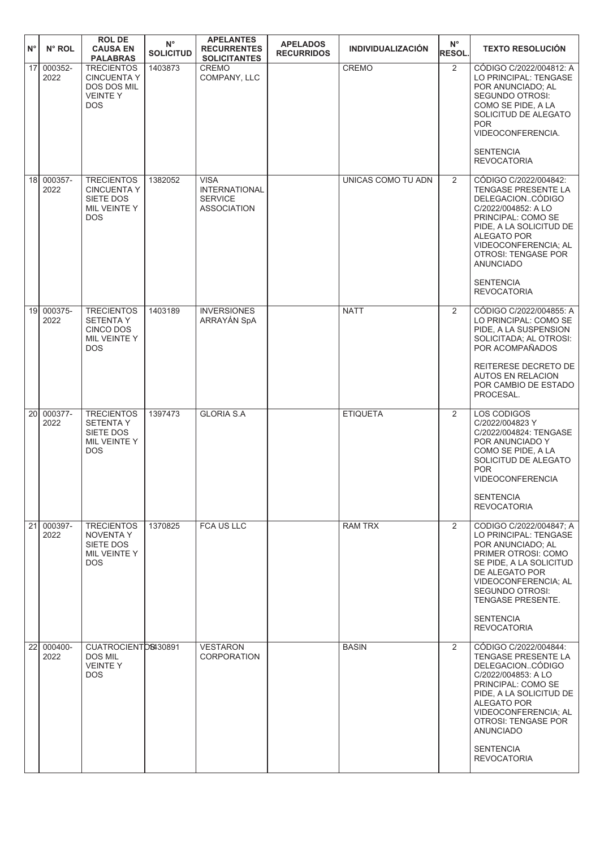| $N^{\circ}$     | $N^{\circ}$ ROL    | <b>ROL DE</b><br><b>CAUSA EN</b><br><b>PALABRAS</b>                                    | $N^{\circ}$<br><b>SOLICITUD</b> | <b>APELANTES</b><br><b>RECURRENTES</b><br><b>SOLICITANTES</b>               | <b>APELADOS</b><br><b>RECURRIDOS</b> | <b>INDIVIDUALIZACIÓN</b> | $N^{\circ}$<br>RESOL. | <b>TEXTO RESOLUCIÓN</b>                                                                                                                                                                                                                                              |
|-----------------|--------------------|----------------------------------------------------------------------------------------|---------------------------------|-----------------------------------------------------------------------------|--------------------------------------|--------------------------|-----------------------|----------------------------------------------------------------------------------------------------------------------------------------------------------------------------------------------------------------------------------------------------------------------|
| 17 <sup>1</sup> | 000352-<br>2022    | <b>TRECIENTOS</b><br><b>CINCUENTA Y</b><br>DOS DOS MIL<br><b>VEINTEY</b><br><b>DOS</b> | 1403873                         | <b>CREMO</b><br>COMPANY, LLC                                                |                                      | <b>CREMO</b>             | $\overline{2}$        | CÓDIGO C/2022/004812: A<br>LO PRINCIPAL: TENGASE<br>POR ANUNCIADO; AL<br>SEGUNDO OTROSI:<br>COMO SE PIDE, A LA<br>SOLICITUD DE ALEGATO<br><b>POR</b><br>VIDEOCONFERENCIA.<br><b>SENTENCIA</b><br><b>REVOCATORIA</b>                                                  |
|                 | 18 000357-<br>2022 | <b>TRECIENTOS</b><br><b>CINCUENTA Y</b><br>SIETE DOS<br>MIL VEINTE Y<br><b>DOS</b>     | 1382052                         | <b>VISA</b><br><b>INTERNATIONAL</b><br><b>SERVICE</b><br><b>ASSOCIATION</b> |                                      | UNICAS COMO TU ADN       | 2                     | CÓDIGO C/2022/004842:<br>TENGASE PRESENTE LA<br>DELEGACIONCÓDIGO<br>C/2022/004852: A LO<br>PRINCIPAL: COMO SE<br>PIDE, A LA SOLICITUD DE<br>ALEGATO POR<br>VIDEOCONFERENCIA; AL<br>OTROSI: TENGASE POR<br><b>ANUNCIADO</b><br><b>SENTENCIA</b><br><b>REVOCATORIA</b> |
|                 | 19 000375-<br>2022 | <b>TRECIENTOS</b><br><b>SETENTA Y</b><br>CINCO DOS<br>MIL VEINTE Y<br><b>DOS</b>       | 1403189                         | <b>INVERSIONES</b><br>ARRAYÁN SpA                                           |                                      | <b>NATT</b>              | $\overline{2}$        | CÓDIGO C/2022/004855: A<br>LO PRINCIPAL: COMO SE<br>PIDE, A LA SUSPENSION<br>SOLICITADA; AL OTROSI:<br>POR ACOMPAÑADOS<br>REITERESE DECRETO DE<br><b>AUTOS EN RELACION</b><br>POR CAMBIO DE ESTADO<br>PROCESAL.                                                      |
| 20 <sup>1</sup> | 000377-<br>2022    | <b>TRECIENTOS</b><br><b>SETENTAY</b><br>SIETE DOS<br>MIL VEINTE Y<br><b>DOS</b>        | 1397473                         | <b>GLORIA S.A</b>                                                           |                                      | <b>ETIQUETA</b>          | $\overline{2}$        | LOS CODIGOS<br>C/2022/004823 Y<br>C/2022/004824: TENGASE<br>POR ANUNCIADO Y<br>COMO SE PIDE, A LA<br>SOLICITUD DE ALEGATO<br><b>POR</b><br><b>VIDEOCONFERENCIA</b><br><b>SENTENCIA</b><br><b>REVOCATORIA</b>                                                         |
| 21              | 000397-<br>2022    | <b>TRECIENTOS</b><br>NOVENTA Y<br>SIETE DOS<br>MIL VEINTE Y<br><b>DOS</b>              | 1370825                         | <b>FCA US LLC</b>                                                           |                                      | <b>RAM TRX</b>           | $\overline{2}$        | CODIGO C/2022/004847; A<br>LO PRINCIPAL: TENGASE<br>POR ANUNCIADO; AL<br>PRIMER OTROSI: COMO<br>SE PIDE, A LA SOLICITUD<br>DE ALEGATO POR<br>VIDEOCONFERENCIA; AL<br><b>SEGUNDO OTROSI:</b><br>TENGASE PRESENTE.<br><b>SENTENCIA</b><br><b>REVOCATORIA</b>           |
| $\overline{22}$ | 000400-<br>2022    | CUATROCIENTOS430891<br><b>DOS MIL</b><br><b>VEINTEY</b><br><b>DOS</b>                  |                                 | <b>VESTARON</b><br><b>CORPORATION</b>                                       |                                      | <b>BASIN</b>             | $\overline{2}$        | CÓDIGO C/2022/004844:<br>TENGASE PRESENTE LA<br>DELEGACIONCÓDIGO<br>C/2022/004853: A LO<br>PRINCIPAL: COMO SE<br>PIDE, A LA SOLICITUD DE<br>ALEGATO POR<br>VIDEOCONFERENCIA; AL<br>OTROSI: TENGASE POR<br><b>ANUNCIADO</b><br><b>SENTENCIA</b><br><b>REVOCATORIA</b> |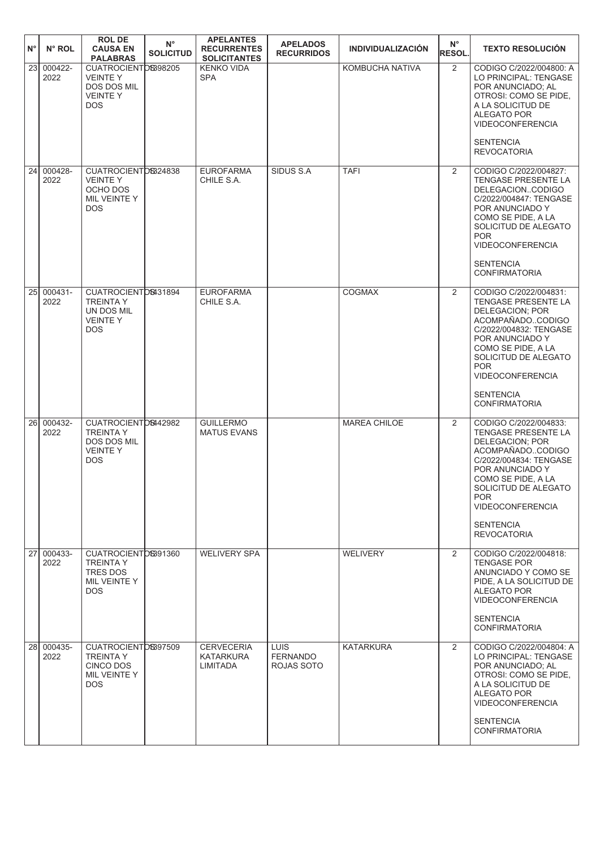| $N^{\circ}$  | N° ROL             | <b>ROL DE</b><br><b>CAUSA EN</b><br><b>PALABRAS</b>                                         | $N^{\circ}$<br><b>SOLICITUD</b> | <b>APELANTES</b><br><b>RECURRENTES</b><br><b>SOLICITANTES</b> | <b>APELADOS</b><br><b>RECURRIDOS</b>         | <b>INDIVIDUALIZACIÓN</b> | $N^{\circ}$<br><b>RESOL.</b> | <b>TEXTO RESOLUCIÓN</b>                                                                                                                                                                                                                                                           |
|--------------|--------------------|---------------------------------------------------------------------------------------------|---------------------------------|---------------------------------------------------------------|----------------------------------------------|--------------------------|------------------------------|-----------------------------------------------------------------------------------------------------------------------------------------------------------------------------------------------------------------------------------------------------------------------------------|
| $\boxed{23}$ | 000422-<br>2022    | CUATROCIENTOS398205<br><b>VEINTEY</b><br><b>DOS DOS MIL</b><br><b>VEINTEY</b><br><b>DOS</b> |                                 | <b>KENKO VIDA</b><br><b>SPA</b>                               |                                              | KOMBUCHA NATIVA          | 2                            | CODIGO C/2022/004800: A<br>LO PRINCIPAL: TENGASE<br>POR ANUNCIADO: AL<br>OTROSI: COMO SE PIDE,<br>A LA SOLICITUD DE<br>ALEGATO POR<br><b>VIDEOCONFERENCIA</b><br><b>SENTENCIA</b><br><b>REVOCATORIA</b>                                                                           |
| 24           | 000428-<br>2022    | CUATROCIENTOS324838<br><b>VEINTEY</b><br>OCHO DOS<br>MIL VEINTE Y<br><b>DOS</b>             |                                 | <b>EUROFARMA</b><br>CHILE S.A.                                | SIDUS S.A.                                   | <b>TAFI</b>              | 2                            | CODIGO C/2022/004827:<br><b>TENGASE PRESENTE LA</b><br>DELEGACIONCODIGO<br>C/2022/004847: TENGASE<br>POR ANUNCIADO Y<br>COMO SE PIDE, A LA<br>SOLICITUD DE ALEGATO<br><b>POR</b><br><b>VIDEOCONFERENCIA</b><br><b>SENTENCIA</b><br><b>CONFIRMATORIA</b>                           |
| 25           | $000431 -$<br>2022 | CUATROCIENTOS431894<br><b>TREINTA Y</b><br>UN DOS MIL<br><b>VEINTEY</b><br><b>DOS</b>       |                                 | <b>EUROFARMA</b><br>CHILE S.A.                                |                                              | <b>COGMAX</b>            | $\overline{2}$               | CODIGO C/2022/004831:<br><b>TENGASE PRESENTE LA</b><br><b>DELEGACION: POR</b><br>ACOMPAÑADOCODIGO<br>C/2022/004832: TENGASE<br>POR ANUNCIADO Y<br>COMO SE PIDE, A LA<br>SOLICITUD DE ALEGATO<br><b>POR</b><br><b>VIDEOCONFERENCIA</b><br><b>SENTENCIA</b><br><b>CONFIRMATORIA</b> |
| 26 I         | 000432-<br>2022    | CUATROCIENTOS442982<br><b>TREINTA Y</b><br>DOS DOS MIL<br><b>VEINTEY</b><br><b>DOS</b>      |                                 | <b>GUILLERMO</b><br><b>MATUS EVANS</b>                        |                                              | <b>MAREA CHILOE</b>      | $\overline{2}$               | CODIGO C/2022/004833:<br>TENGASE PRESENTE LA<br><b>DELEGACION: POR</b><br>ACOMPAÑADOCODIGO<br>C/2022/004834: TENGASE<br>POR ANUNCIADO Y<br>COMO SE PIDE, A LA<br>SOLICITUD DE ALEGATO<br><b>POR</b><br><b>VIDEOCONFERENCIA</b><br><b>SENTENCIA</b><br><b>REVOCATORIA</b>          |
|              | 27 000433-<br>2022 | CUATROCIENTOS391360<br><b>TREINTA Y</b><br><b>TRES DOS</b><br>MIL VEINTE Y<br><b>DOS</b>    |                                 | <b>WELIVERY SPA</b>                                           |                                              | <b>WELIVERY</b>          | 2                            | CODIGO C/2022/004818:<br><b>TENGASE POR</b><br>ANUNCIADO Y COMO SE<br>PIDE, A LA SOLICITUD DE<br>ALEGATO POR<br><b>VIDEOCONFERENCIA</b><br><b>SENTENCIA</b><br><b>CONFIRMATORIA</b>                                                                                               |
|              | 28 000435-<br>2022 | CUATROCIENTOS397509<br><b>TREINTA Y</b><br>CINCO DOS<br>MIL VEINTE Y<br><b>DOS</b>          |                                 | <b>CERVECERIA</b><br>KATARKURA<br>LIMITADA                    | <b>LUIS</b><br><b>FERNANDO</b><br>ROJAS SOTO | <b>KATARKURA</b>         | $\overline{2}$               | CODIGO C/2022/004804: A<br>LO PRINCIPAL: TENGASE<br>POR ANUNCIADO; AL<br>OTROSI: COMO SE PIDE,<br>A LA SOLICITUD DE<br><b>ALEGATO POR</b><br><b>VIDEOCONFERENCIA</b><br><b>SENTENCIA</b><br><b>CONFIRMATORIA</b>                                                                  |